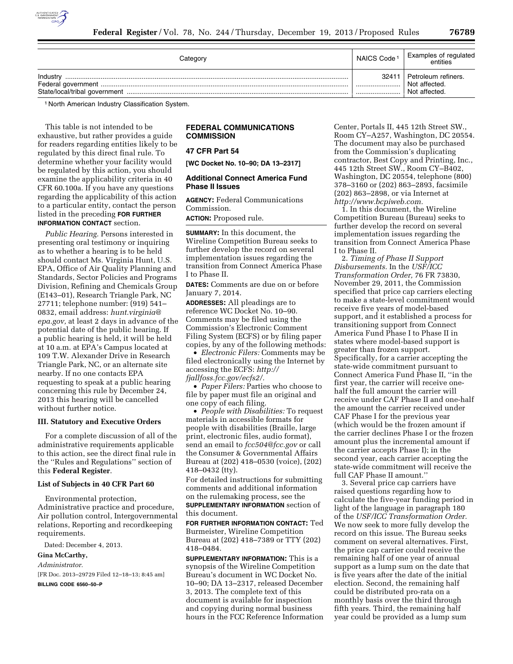

| Category | NAICS Code <sup>1</sup> | Examples of regulated<br>entities                     |
|----------|-------------------------|-------------------------------------------------------|
| Industry | 32411                   | Petroleum refiners.<br>Not affected.<br>Not affected. |

1 North American Industry Classification System.

This table is not intended to be exhaustive, but rather provides a guide for readers regarding entities likely to be regulated by this direct final rule. To determine whether your facility would be regulated by this action, you should examine the applicability criteria in 40 CFR 60.100a. If you have any questions regarding the applicability of this action to a particular entity, contact the person listed in the preceding **FOR FURTHER INFORMATION CONTACT** section.

*Public Hearing.* Persons interested in presenting oral testimony or inquiring as to whether a hearing is to be held should contact Ms. Virginia Hunt, U.S. EPA, Office of Air Quality Planning and Standards, Sector Policies and Programs Division, Refining and Chemicals Group (E143–01), Research Triangle Park, NC 27711; telephone number: (919) 541– 0832, email address: *[hunt.virginia@](mailto:hunt.virginia@epa.gov) [epa.gov,](mailto:hunt.virginia@epa.gov)* at least 2 days in advance of the potential date of the public hearing. If a public hearing is held, it will be held at 10 a.m. at EPA's Campus located at 109 T.W. Alexander Drive in Research Triangle Park, NC, or an alternate site nearby. If no one contacts EPA requesting to speak at a public hearing concerning this rule by December 24, 2013 this hearing will be cancelled without further notice.

#### **III. Statutory and Executive Orders**

For a complete discussion of all of the administrative requirements applicable to this action, see the direct final rule in the ''Rules and Regulations'' section of this **Federal Register**.

#### **List of Subjects in 40 CFR Part 60**

Environmental protection, Administrative practice and procedure, Air pollution control, Intergovernmental relations, Reporting and recordkeeping requirements.

Dated: December 4, 2013.

#### **Gina McCarthy,**

*Administrator.* 

[FR Doc. 2013–29729 Filed 12–18–13; 8:45 am] **BILLING CODE 6560–50–P** 

## **FEDERAL COMMUNICATIONS COMMISSION**

## **47 CFR Part 54**

**[WC Docket No. 10–90; DA 13–2317]** 

## **Additional Connect America Fund Phase II Issues**

**AGENCY:** Federal Communications Commission.

**ACTION:** Proposed rule.

**SUMMARY:** In this document, the Wireline Competition Bureau seeks to further develop the record on several implementation issues regarding the transition from Connect America Phase I to Phase II.

**DATES:** Comments are due on or before January 7, 2014.

**ADDRESSES:** All pleadings are to reference WC Docket No. 10–90. Comments may be filed using the Commission's Electronic Comment Filing System (ECFS) or by filing paper copies, by any of the following methods:

• *Electronic Filers:* Comments may be filed electronically using the Internet by accessing the ECFS: *[http://](http://fjallfoss.fcc.gov/ecfs2/) [fjallfoss.fcc.gov/ecfs2/.](http://fjallfoss.fcc.gov/ecfs2/)* 

• *Paper Filers:* Parties who choose to file by paper must file an original and one copy of each filing.

• *People with Disabilities:* To request materials in accessible formats for people with disabilities (Braille, large print, electronic files, audio format), send an email to *[fcc504@fcc.gov](mailto:fcc504@fcc.gov)* or call the Consumer & Governmental Affairs Bureau at (202) 418–0530 (voice), (202) 418–0432 (tty).

For detailed instructions for submitting comments and additional information on the rulemaking process, see the **SUPPLEMENTARY INFORMATION** section of this document.

**FOR FURTHER INFORMATION CONTACT:** Ted Burmeister, Wireline Competition Bureau at (202) 418–7389 or TTY (202) 418–0484.

**SUPPLEMENTARY INFORMATION:** This is a synopsis of the Wireline Competition Bureau's document in WC Docket No. 10–90; DA 13–2317, released December 3, 2013. The complete text of this document is available for inspection and copying during normal business hours in the FCC Reference Information Center, Portals II, 445 12th Street SW., Room CY–A257, Washington, DC 20554. The document may also be purchased from the Commission's duplicating contractor, Best Copy and Printing, Inc., 445 12th Street SW., Room CY–B402, Washington, DC 20554, telephone (800) 378–3160 or (202) 863–2893, facsimile (202) 863–2898, or via Internet at *[http://www.bcpiweb.com.](http://www.bcpiweb.com)* 

1. In this document, the Wireline Competition Bureau (Bureau) seeks to further develop the record on several implementation issues regarding the transition from Connect America Phase I to Phase II.

2. *Timing of Phase II Support Disbursements.* In the *USF/ICC Transformation Order,* 76 FR 73830, November 29, 2011, the Commission specified that price cap carriers electing to make a state-level commitment would receive five years of model-based support, and it established a process for transitioning support from Connect America Fund Phase I to Phase II in states where model-based support is greater than frozen support. Specifically, for a carrier accepting the state-wide commitment pursuant to Connect America Fund Phase II, ''in the first year, the carrier will receive onehalf the full amount the carrier will receive under CAF Phase II and one-half the amount the carrier received under CAF Phase I for the previous year (which would be the frozen amount if the carrier declines Phase I or the frozen amount plus the incremental amount if the carrier accepts Phase I); in the second year, each carrier accepting the state-wide commitment will receive the full CAF Phase II amount.''

3. Several price cap carriers have raised questions regarding how to calculate the five-year funding period in light of the language in paragraph 180 of the *USF/ICC Transformation Order.*  We now seek to more fully develop the record on this issue. The Bureau seeks comment on several alternatives. First, the price cap carrier could receive the remaining half of one year of annual support as a lump sum on the date that is five years after the date of the initial election. Second, the remaining half could be distributed pro-rata on a monthly basis over the third through fifth years. Third, the remaining half year could be provided as a lump sum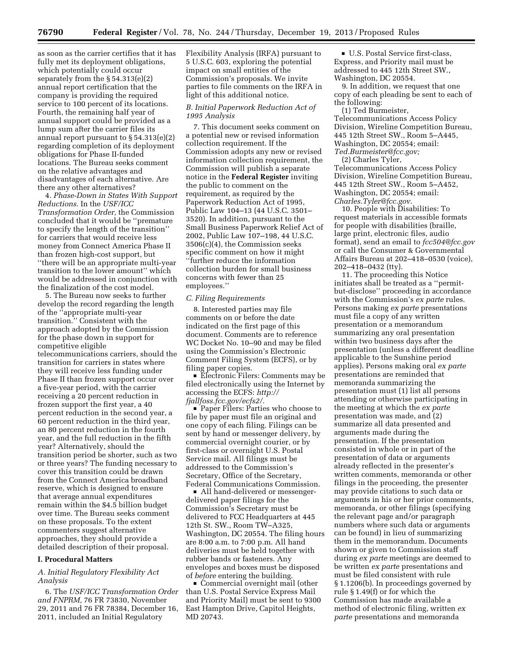as soon as the carrier certifies that it has fully met its deployment obligations, which potentially could occur separately from the § 54.313(e)(2) annual report certification that the company is providing the required service to 100 percent of its locations. Fourth, the remaining half year of annual support could be provided as a lump sum after the carrier files its annual report pursuant to § 54.313(e)(2) regarding completion of its deployment obligations for Phase II-funded locations. The Bureau seeks comment on the relative advantages and disadvantages of each alternative. Are there any other alternatives?

4. *Phase-Down in States With Support Reductions.* In the *USF/ICC Transformation Order,* the Commission concluded that it would be ''premature to specify the length of the transition'' for carriers that would receive less money from Connect America Phase II than frozen high-cost support, but ''there will be an appropriate multi-year transition to the lower amount'' which would be addressed in conjunction with the finalization of the cost model.

5. The Bureau now seeks to further develop the record regarding the length of the ''appropriate multi-year transition.'' Consistent with the approach adopted by the Commission for the phase down in support for competitive eligible telecommunications carriers, should the transition for carriers in states where they will receive less funding under Phase II than frozen support occur over a five-year period, with the carrier receiving a 20 percent reduction in frozen support the first year, a 40 percent reduction in the second year, a 60 percent reduction in the third year, an 80 percent reduction in the fourth year, and the full reduction in the fifth year? Alternatively, should the transition period be shorter, such as two or three years? The funding necessary to cover this transition could be drawn from the Connect America broadband reserve, which is designed to ensure that average annual expenditures remain within the \$4.5 billion budget over time. The Bureau seeks comment on these proposals. To the extent commenters suggest alternative approaches, they should provide a detailed description of their proposal.

### **I. Procedural Matters**

## *A. Initial Regulatory Flexibility Act Analysis*

6. The *USF/ICC Transformation Order and FNPRM,* 76 FR 73830, November 29, 2011 and 76 FR 78384, December 16, 2011, included an Initial Regulatory

Flexibility Analysis (IRFA) pursuant to 5 U.S.C. 603, exploring the potential impact on small entities of the Commission's proposals. We invite parties to file comments on the IRFA in light of this additional notice.

## *B. Initial Paperwork Reduction Act of 1995 Analysis*

7. This document seeks comment on a potential new or revised information collection requirement. If the Commission adopts any new or revised information collection requirement, the Commission will publish a separate notice in the **Federal Register** inviting the public to comment on the requirement, as required by the Paperwork Reduction Act of 1995, Public Law 104–13 (44 U.S.C. 3501– 3520). In addition, pursuant to the Small Business Paperwork Relief Act of 2002, Public Law 107–198, 44 U.S.C. 3506(c)(4), the Commission seeks specific comment on how it might ''further reduce the information collection burden for small business concerns with fewer than 25 employees.''

### *C. Filing Requirements*

8. Interested parties may file comments on or before the date indicated on the first page of this document. Comments are to reference WC Docket No. 10–90 and may be filed using the Commission's Electronic Comment Filing System (ECFS), or by filing paper copies.

■ Electronic Filers: Comments may be filed electronically using the Internet by accessing the ECFS: *[http://](http://fjallfoss.fcc.gov/ecfs2/) [fjallfoss.fcc.gov/ecfs2/.](http://fjallfoss.fcc.gov/ecfs2/)* 

■ Paper Filers: Parties who choose to file by paper must file an original and one copy of each filing. Filings can be sent by hand or messenger delivery, by commercial overnight courier, or by first-class or overnight U.S. Postal Service mail. All filings must be addressed to the Commission's Secretary, Office of the Secretary, Federal Communications Commission.

 $\blacksquare$  All hand-delivered or messengerdelivered paper filings for the Commission's Secretary must be delivered to FCC Headquarters at 445 12th St. SW., Room TW–A325, Washington, DC 20554. The filing hours are 8:00 a.m. to 7:00 p.m. All hand deliveries must be held together with rubber bands or fasteners. Any envelopes and boxes must be disposed of *before* entering the building.

■ Commercial overnight mail (other than U.S. Postal Service Express Mail and Priority Mail) must be sent to 9300 East Hampton Drive, Capitol Heights, MD 20743.

D U.S. Postal Service first-class, Express, and Priority mail must be addressed to 445 12th Street SW., Washington, DC 20554.

9. In addition, we request that one copy of each pleading be sent to each of the following:

(1) Ted Burmeister, Telecommunications Access Policy Division, Wireline Competition Bureau, 445 12th Street SW., Room 5–A445, Washington, DC 20554; email: *[Ted.Burmeister@fcc.gov;](mailto:Ted.Burmeister@fcc.gov)* 

(2) Charles Tyler,

Telecommunications Access Policy Division, Wireline Competition Bureau, 445 12th Street SW., Room 5–A452, Washington, DC 20554; email: *[Charles.Tyler@fcc.gov.](mailto:Charles.Tyler@fcc.gov)* 

10. People with Disabilities: To request materials in accessible formats for people with disabilities (braille, large print, electronic files, audio format), send an email to *[fcc504@fcc.gov](mailto:fcc504@fcc.gov)*  or call the Consumer & Governmental Affairs Bureau at 202–418–0530 (voice), 202–418–0432 (tty).

11. The proceeding this Notice initiates shall be treated as a ''permitbut-disclose'' proceeding in accordance with the Commission's *ex parte* rules. Persons making *ex parte* presentations must file a copy of any written presentation or a memorandum summarizing any oral presentation within two business days after the presentation (unless a different deadline applicable to the Sunshine period applies). Persons making oral *ex parte*  presentations are reminded that memoranda summarizing the presentation must (1) list all persons attending or otherwise participating in the meeting at which the *ex parte*  presentation was made, and (2) summarize all data presented and arguments made during the presentation. If the presentation consisted in whole or in part of the presentation of data or arguments already reflected in the presenter's written comments, memoranda or other filings in the proceeding, the presenter may provide citations to such data or arguments in his or her prior comments, memoranda, or other filings (specifying the relevant page and/or paragraph numbers where such data or arguments can be found) in lieu of summarizing them in the memorandum. Documents shown or given to Commission staff during *ex parte* meetings are deemed to be written *ex parte* presentations and must be filed consistent with rule § 1.1206(b). In proceedings governed by rule § 1.49(f) or for which the Commission has made available a method of electronic filing, written *ex parte* presentations and memoranda